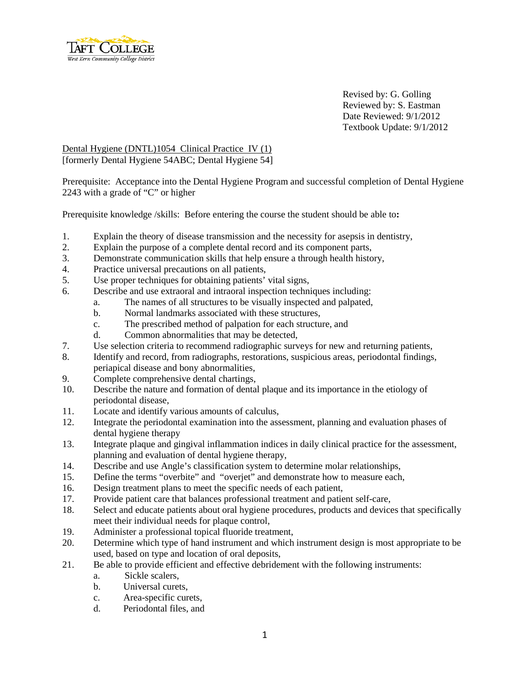

Revised by: G. Golling Reviewed by: S. Eastman Date Reviewed: 9/1/2012 Textbook Update: 9/1/2012

Dental Hygiene (DNTL)1054 Clinical Practice IV (1) [formerly Dental Hygiene 54ABC; Dental Hygiene 54]

Prerequisite: Acceptance into the Dental Hygiene Program and successful completion of Dental Hygiene 2243 with a grade of "C" or higher

Prerequisite knowledge /skills: Before entering the course the student should be able to**:**

- 1. Explain the theory of disease transmission and the necessity for asepsis in dentistry,
- 2. Explain the purpose of a complete dental record and its component parts,
- 3. Demonstrate communication skills that help ensure a through health history,
- 4. Practice universal precautions on all patients,
- 5. Use proper techniques for obtaining patients' vital signs,
- 6. Describe and use extraoral and intraoral inspection techniques including:
	- a. The names of all structures to be visually inspected and palpated,
		- b. Normal landmarks associated with these structures,
		- c. The prescribed method of palpation for each structure, and
		- d. Common abnormalities that may be detected,
- 7. Use selection criteria to recommend radiographic surveys for new and returning patients,
- 8. Identify and record, from radiographs, restorations, suspicious areas, periodontal findings, periapical disease and bony abnormalities,
- 9. Complete comprehensive dental chartings,
- 10. Describe the nature and formation of dental plaque and its importance in the etiology of periodontal disease,
- 11. Locate and identify various amounts of calculus,
- 12. Integrate the periodontal examination into the assessment, planning and evaluation phases of dental hygiene therapy
- 13. Integrate plaque and gingival inflammation indices in daily clinical practice for the assessment, planning and evaluation of dental hygiene therapy,
- 14. Describe and use Angle's classification system to determine molar relationships,
- 15. Define the terms "overbite" and "overjet" and demonstrate how to measure each,
- 16. Design treatment plans to meet the specific needs of each patient,
- 17. Provide patient care that balances professional treatment and patient self-care,
- 18. Select and educate patients about oral hygiene procedures, products and devices that specifically meet their individual needs for plaque control,
- 19. Administer a professional topical fluoride treatment,<br>20. Determine which type of hand instrument and which
- Determine which type of hand instrument and which instrument design is most appropriate to be used, based on type and location of oral deposits,
- 21. Be able to provide efficient and effective debridement with the following instruments:
	- a. Sickle scalers,
	- b. Universal curets,
	- c. Area-specific curets,
	- d. Periodontal files, and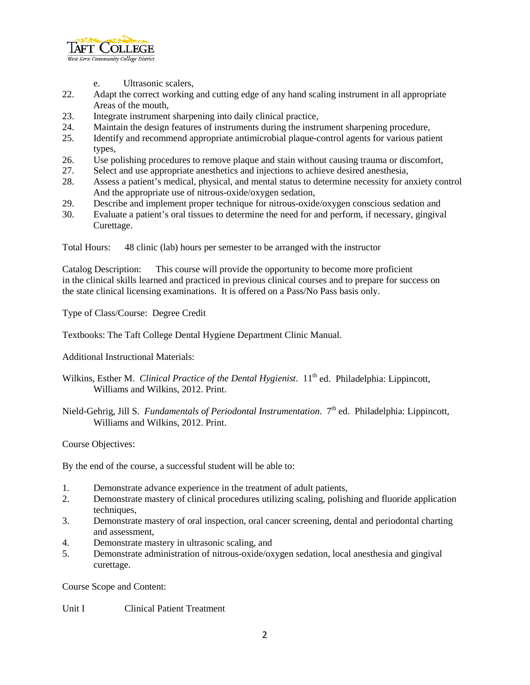

- e. Ultrasonic scalers,
- 22. Adapt the correct working and cutting edge of any hand scaling instrument in all appropriate Areas of the mouth,
- 23. Integrate instrument sharpening into daily clinical practice,
- 24. Maintain the design features of instruments during the instrument sharpening procedure,
- 25. Identify and recommend appropriate antimicrobial plaque-control agents for various patient types,
- 26. Use polishing procedures to remove plaque and stain without causing trauma or discomfort,
- 27. Select and use appropriate anesthetics and injections to achieve desired anesthesia,
- 28. Assess a patient's medical, physical, and mental status to determine necessity for anxiety control And the appropriate use of nitrous-oxide/oxygen sedation,
- 29. Describe and implement proper technique for nitrous-oxide/oxygen conscious sedation and
- 30. Evaluate a patient's oral tissues to determine the need for and perform, if necessary, gingival Curettage.

Total Hours: 48 clinic (lab) hours per semester to be arranged with the instructor

Catalog Description: This course will provide the opportunity to become more proficient in the clinical skills learned and practiced in previous clinical courses and to prepare for success on the state clinical licensing examinations. It is offered on a Pass/No Pass basis only.

Type of Class/Course: Degree Credit

Textbooks: The Taft College Dental Hygiene Department Clinic Manual.

Additional Instructional Materials:

- Wilkins, Esther M. *Clinical Practice of the Dental Hygienist*. 11<sup>th</sup> ed. Philadelphia: Lippincott, Williams and Wilkins, 2012. Print.
- Nield-Gehrig, Jill S. *Fundamentals of Periodontal Instrumentation*. 7<sup>th</sup> ed. Philadelphia: Lippincott, Williams and Wilkins, 2012. Print.

Course Objectives:

By the end of the course, a successful student will be able to:

- 1. Demonstrate advance experience in the treatment of adult patients,
- 2. Demonstrate mastery of clinical procedures utilizing scaling, polishing and fluoride application techniques,
- 3. Demonstrate mastery of oral inspection, oral cancer screening, dental and periodontal charting and assessment,
- 4. Demonstrate mastery in ultrasonic scaling, and
- 5. Demonstrate administration of nitrous-oxide/oxygen sedation, local anesthesia and gingival curettage.

Course Scope and Content:

Unit I Clinical Patient Treatment